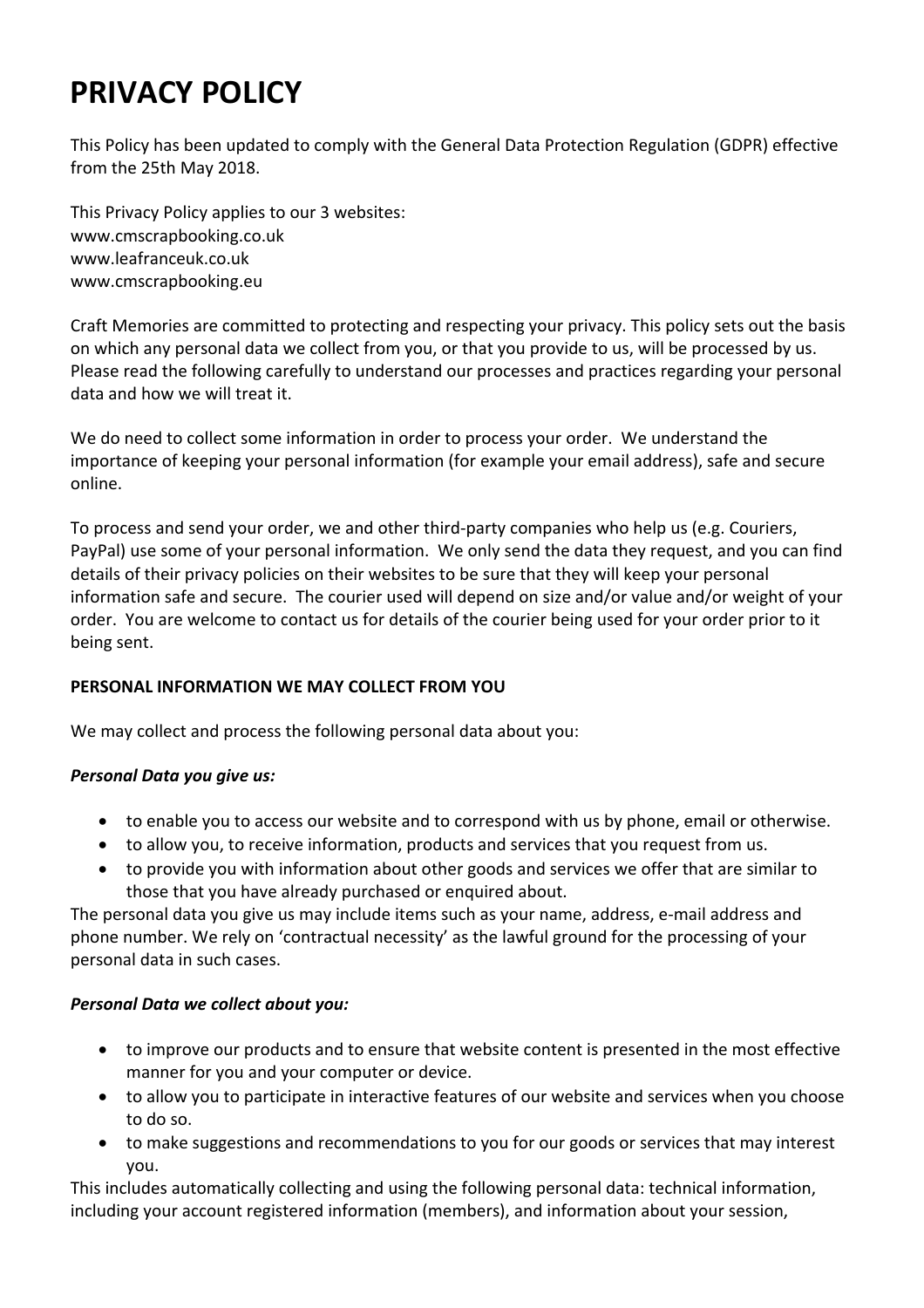# **PRIVACY POLICY**

This Policy has been updated to comply with the General Data Protection Regulation (GDPR) effective from the 25th May 2018.

This Privacy Policy applies to our 3 websites: www.cmscrapbooking.co.uk www.leafranceuk.co.uk www.cmscrapbooking.eu

Craft Memories are committed to protecting and respecting your privacy. This policy sets out the basis on which any personal data we collect from you, or that you provide to us, will be processed by us. Please read the following carefully to understand our processes and practices regarding your personal data and how we will treat it.

We do need to collect some information in order to process your order. We understand the importance of keeping your personal information (for example your email address), safe and secure online.

To process and send your order, we and other third-party companies who help us (e.g. Couriers, PayPal) use some of your personal information. We only send the data they request, and you can find details of their privacy policies on their websites to be sure that they will keep your personal information safe and secure. The courier used will depend on size and/or value and/or weight of your order. You are welcome to contact us for details of the courier being used for your order prior to it being sent.

# **PERSONAL INFORMATION WE MAY COLLECT FROM YOU**

We may collect and process the following personal data about you:

#### *Personal Data you give us:*

- to enable you to access our website and to correspond with us by phone, email or otherwise.
- to allow you, to receive information, products and services that you request from us.
- to provide you with information about other goods and services we offer that are similar to those that you have already purchased or enquired about.

The personal data you give us may include items such as your name, address, e‐mail address and phone number. We rely on 'contractual necessity' as the lawful ground for the processing of your personal data in such cases.

#### *Personal Data we collect about you:*

- to improve our products and to ensure that website content is presented in the most effective manner for you and your computer or device.
- to allow you to participate in interactive features of our website and services when you choose to do so.
- to make suggestions and recommendations to you for our goods or services that may interest you.

This includes automatically collecting and using the following personal data: technical information, including your account registered information (members), and information about your session,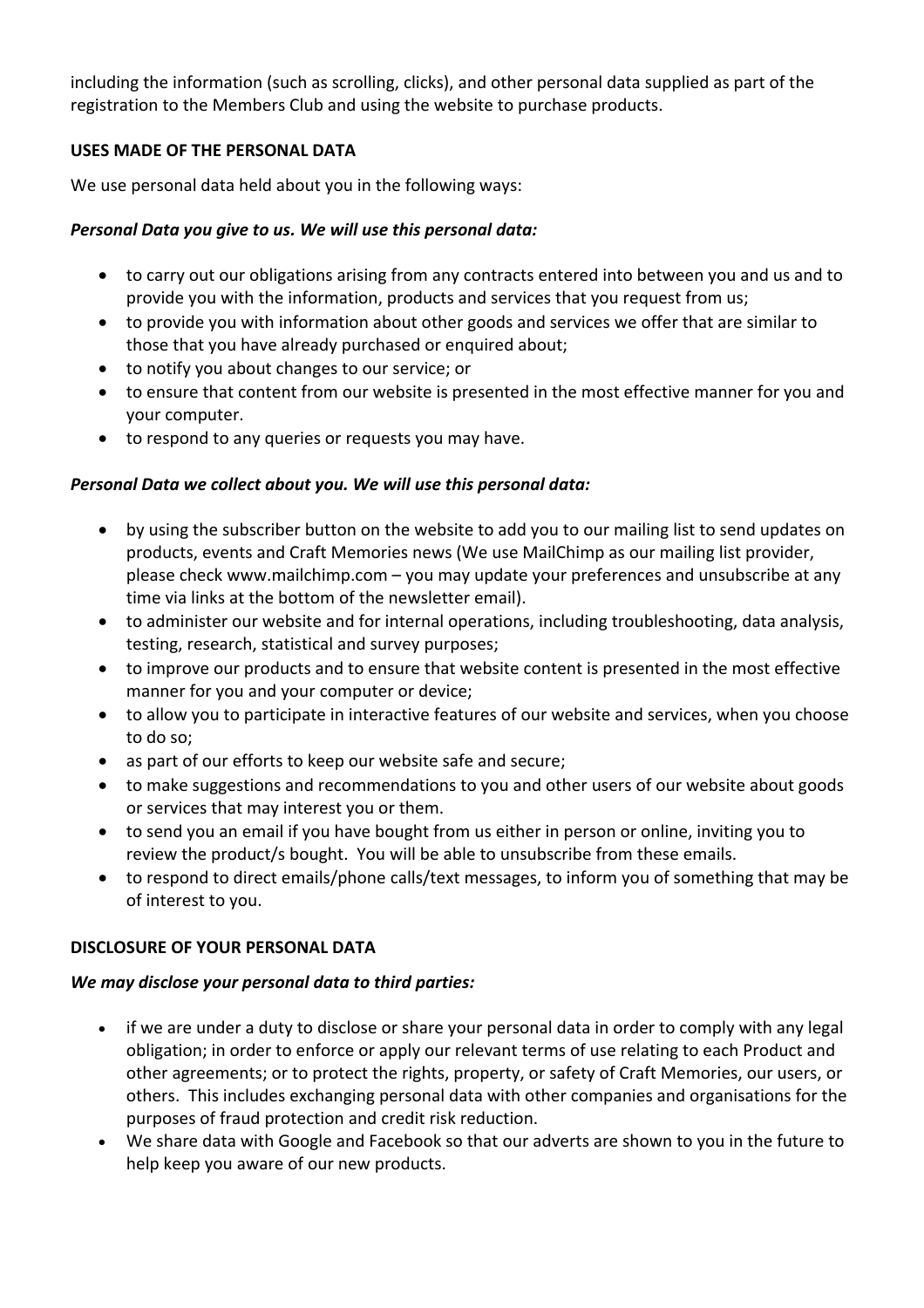including the information (such as scrolling, clicks), and other personal data supplied as part of the registration to the Members Club and using the website to purchase products.

## **USES MADE OF THE PERSONAL DATA**

We use personal data held about you in the following ways:

## *Personal Data you give to us. We will use this personal data:*

- to carry out our obligations arising from any contracts entered into between you and us and to provide you with the information, products and services that you request from us;
- to provide you with information about other goods and services we offer that are similar to those that you have already purchased or enquired about;
- to notify you about changes to our service; or
- to ensure that content from our website is presented in the most effective manner for you and your computer.
- to respond to any queries or requests you may have.

# *Personal Data we collect about you. We will use this personal data:*

- by using the subscriber button on the website to add you to our mailing list to send updates on products, events and Craft Memories news (We use MailChimp as our mailing list provider, please check www.mailchimp.com – you may update your preferences and unsubscribe at any time via links at the bottom of the newsletter email).
- to administer our website and for internal operations, including troubleshooting, data analysis, testing, research, statistical and survey purposes;
- to improve our products and to ensure that website content is presented in the most effective manner for you and your computer or device;
- to allow you to participate in interactive features of our website and services, when you choose to do so;
- as part of our efforts to keep our website safe and secure;
- to make suggestions and recommendations to you and other users of our website about goods or services that may interest you or them.
- to send you an email if you have bought from us either in person or online, inviting you to review the product/s bought. You will be able to unsubscribe from these emails.
- to respond to direct emails/phone calls/text messages, to inform you of something that may be of interest to you.

# **DISCLOSURE OF YOUR PERSONAL DATA**

#### *We may disclose your personal data to third parties:*

- if we are under a duty to disclose or share your personal data in order to comply with any legal obligation; in order to enforce or apply our relevant terms of use relating to each Product and other agreements; or to protect the rights, property, or safety of Craft Memories, our users, or others. This includes exchanging personal data with other companies and organisations for the purposes of fraud protection and credit risk reduction.
- We share data with Google and Facebook so that our adverts are shown to you in the future to help keep you aware of our new products.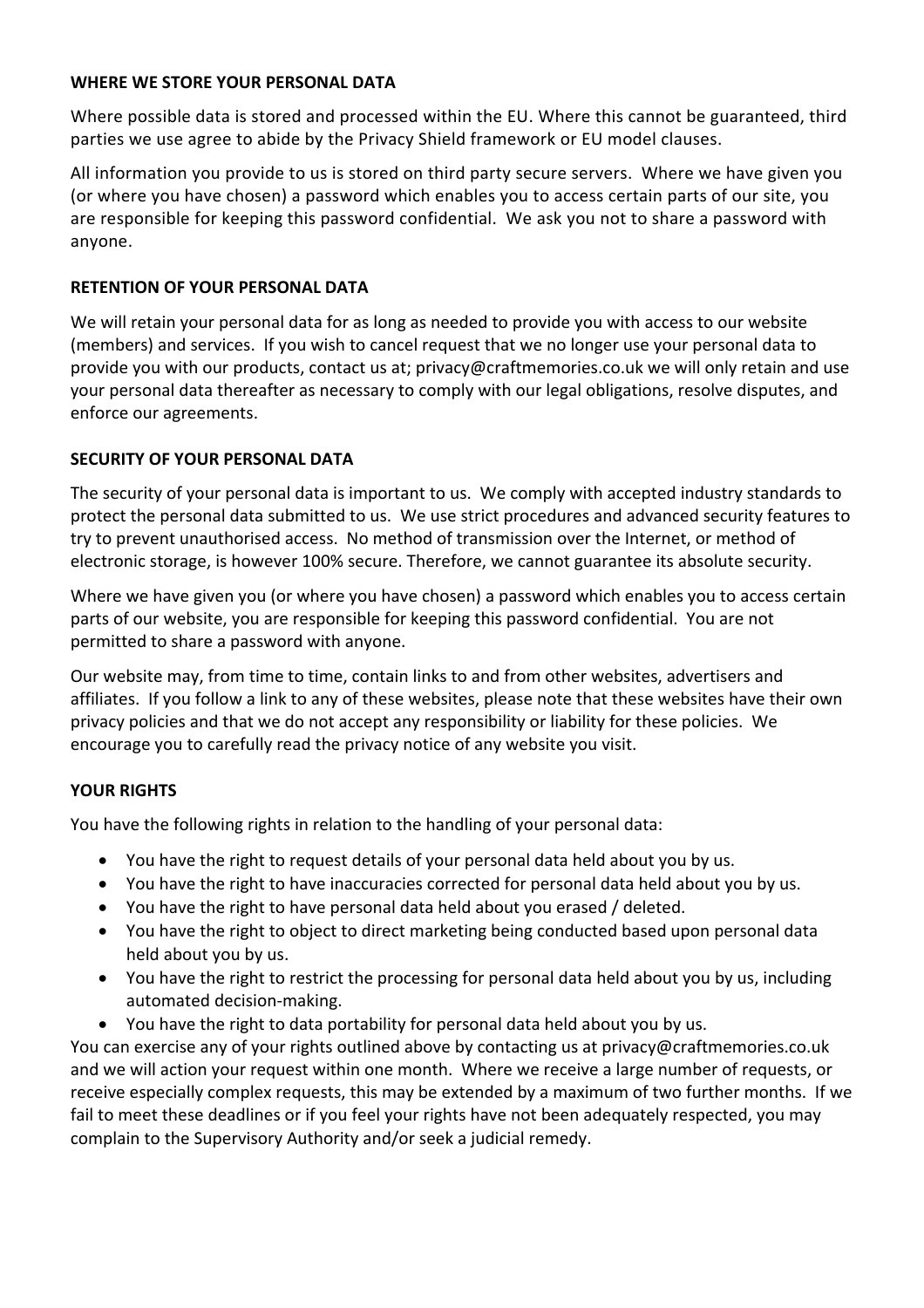#### **WHERE WE STORE YOUR PERSONAL DATA**

Where possible data is stored and processed within the EU. Where this cannot be guaranteed, third parties we use agree to abide by the Privacy Shield framework or EU model clauses.

All information you provide to us is stored on third party secure servers. Where we have given you (or where you have chosen) a password which enables you to access certain parts of our site, you are responsible for keeping this password confidential. We ask you not to share a password with anyone.

#### **RETENTION OF YOUR PERSONAL DATA**

We will retain your personal data for as long as needed to provide you with access to our website (members) and services. If you wish to cancel request that we no longer use your personal data to provide you with our products, contact us at; privacy@craftmemories.co.uk we will only retain and use your personal data thereafter as necessary to comply with our legal obligations, resolve disputes, and enforce our agreements.

### **SECURITY OF YOUR PERSONAL DATA**

The security of your personal data is important to us. We comply with accepted industry standards to protect the personal data submitted to us. We use strict procedures and advanced security features to try to prevent unauthorised access. No method of transmission over the Internet, or method of electronic storage, is however 100% secure. Therefore, we cannot guarantee its absolute security.

Where we have given you (or where you have chosen) a password which enables you to access certain parts of our website, you are responsible for keeping this password confidential. You are not permitted to share a password with anyone.

Our website may, from time to time, contain links to and from other websites, advertisers and affiliates. If you follow a link to any of these websites, please note that these websites have their own privacy policies and that we do not accept any responsibility or liability for these policies. We encourage you to carefully read the privacy notice of any website you visit.

#### **YOUR RIGHTS**

You have the following rights in relation to the handling of your personal data:

- You have the right to request details of your personal data held about you by us.
- You have the right to have inaccuracies corrected for personal data held about you by us.
- You have the right to have personal data held about you erased / deleted.
- You have the right to object to direct marketing being conducted based upon personal data held about you by us.
- You have the right to restrict the processing for personal data held about you by us, including automated decision‐making.
- You have the right to data portability for personal data held about you by us.

You can exercise any of your rights outlined above by contacting us at privacy@craftmemories.co.uk and we will action your request within one month. Where we receive a large number of requests, or receive especially complex requests, this may be extended by a maximum of two further months. If we fail to meet these deadlines or if you feel your rights have not been adequately respected, you may complain to the Supervisory Authority and/or seek a judicial remedy.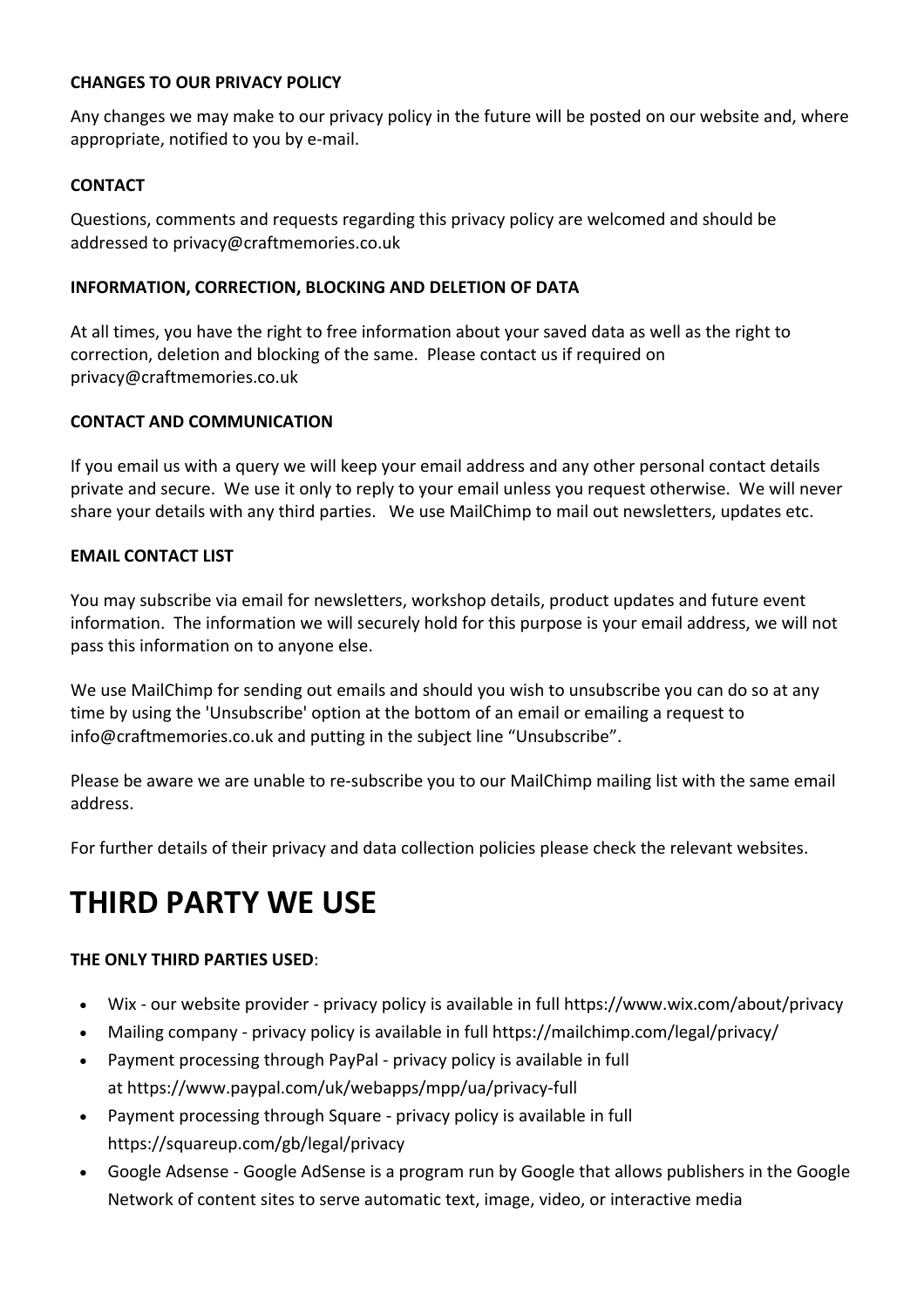#### **CHANGES TO OUR PRIVACY POLICY**

Any changes we may make to our privacy policy in the future will be posted on our website and, where appropriate, notified to you by e‐mail.

#### **CONTACT**

Questions, comments and requests regarding this privacy policy are welcomed and should be addressed to privacy@craftmemories.co.uk

#### **INFORMATION, CORRECTION, BLOCKING AND DELETION OF DATA**

At all times, you have the right to free information about your saved data as well as the right to correction, deletion and blocking of the same. Please contact us if required on privacy@craftmemories.co.uk

#### **CONTACT AND COMMUNICATION**

If you email us with a query we will keep your email address and any other personal contact details private and secure. We use it only to reply to your email unless you request otherwise. We will never share your details with any third parties. We use MailChimp to mail out newsletters, updates etc.

#### **EMAIL CONTACT LIST**

You may subscribe via email for newsletters, workshop details, product updates and future event information. The information we will securely hold for this purpose is your email address, we will not pass this information on to anyone else.

We use MailChimp for sending out emails and should you wish to unsubscribe you can do so at any time by using the 'Unsubscribe' option at the bottom of an email or emailing a request to info@craftmemories.co.uk and putting in the subject line "Unsubscribe".

Please be aware we are unable to re‐subscribe you to our MailChimp mailing list with the same email address.

For further details of their privacy and data collection policies please check the relevant websites.

# **THIRD PARTY WE USE**

#### **THE ONLY THIRD PARTIES USED**:

- Wix ‐ our website provider ‐ privacy policy is available in full https://www.wix.com/about/privacy
- Mailing company privacy policy is available in full https://mailchimp.com/legal/privacy/
- Payment processing through PayPal ‐ privacy policy is available in full at https://www.paypal.com/uk/webapps/mpp/ua/privacy‐full
- Payment processing through Square ‐ privacy policy is available in full https://squareup.com/gb/legal/privacy
- Google Adsense ‐ Google AdSense is a program run by Google that allows publishers in the Google Network of content sites to serve automatic text, image, video, or interactive media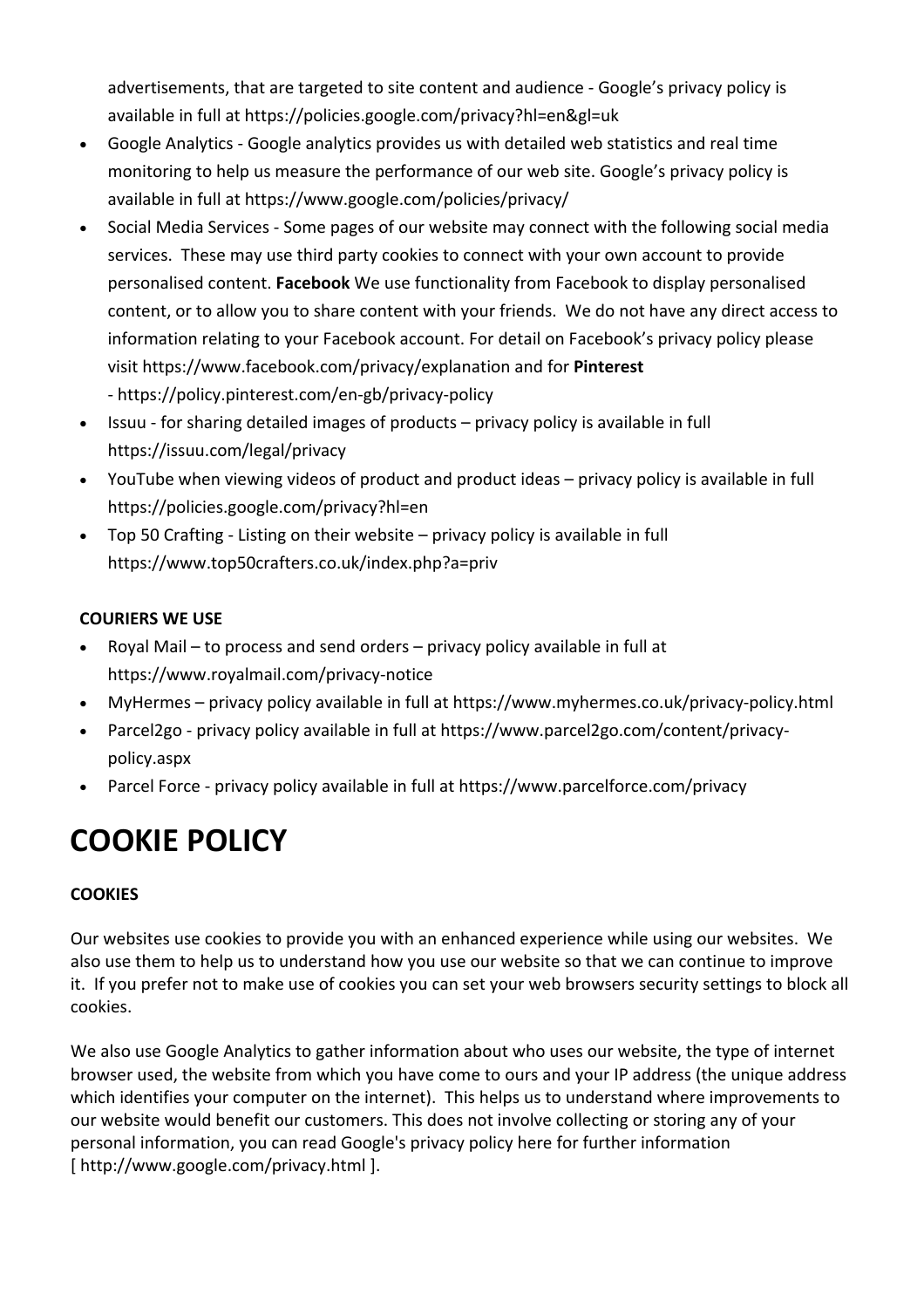advertisements, that are targeted to site content and audience ‐ Google's privacy policy is available in full at https://policies.google.com/privacy?hl=en&gl=uk

- Google Analytics ‐ Google analytics provides us with detailed web statistics and real time monitoring to help us measure the performance of our web site. Google's privacy policy is available in full at https://www.google.com/policies/privacy/
- Social Media Services Some pages of our website may connect with the following social media services. These may use third party cookies to connect with your own account to provide personalised content. **Facebook** We use functionality from Facebook to display personalised content, or to allow you to share content with your friends. We do not have any direct access to information relating to your Facebook account. For detail on Facebook's privacy policy please visit https://www.facebook.com/privacy/explanation and for **Pinterest** ‐ https://policy.pinterest.com/en‐gb/privacy‐policy
- Issuu for sharing detailed images of products privacy policy is available in full https://issuu.com/legal/privacy
- YouTube when viewing videos of product and product ideas privacy policy is available in full https://policies.google.com/privacy?hl=en
- Top 50 Crafting Listing on their website privacy policy is available in full https://www.top50crafters.co.uk/index.php?a=priv

# **COURIERS WE USE**

- Royal Mail to process and send orders privacy policy available in full at https://www.royalmail.com/privacy‐notice
- MyHermes privacy policy available in full at https://www.myhermes.co.uk/privacy‐policy.html
- Parcel2go privacy policy available in full at https://www.parcel2go.com/content/privacypolicy.aspx
- Parcel Force privacy policy available in full at https://www.parcelforce.com/privacy

# **COOKIE POLICY**

# **COOKIES**

Our websites use cookies to provide you with an enhanced experience while using our websites. We also use them to help us to understand how you use our website so that we can continue to improve it. If you prefer not to make use of cookies you can set your web browsers security settings to block all cookies.

We also use Google Analytics to gather information about who uses our website, the type of internet browser used, the website from which you have come to ours and your IP address (the unique address which identifies your computer on the internet). This helps us to understand where improvements to our website would benefit our customers. This does not involve collecting or storing any of your personal information, you can read Google's privacy policy here for further information [ http://www.google.com/privacy.html ].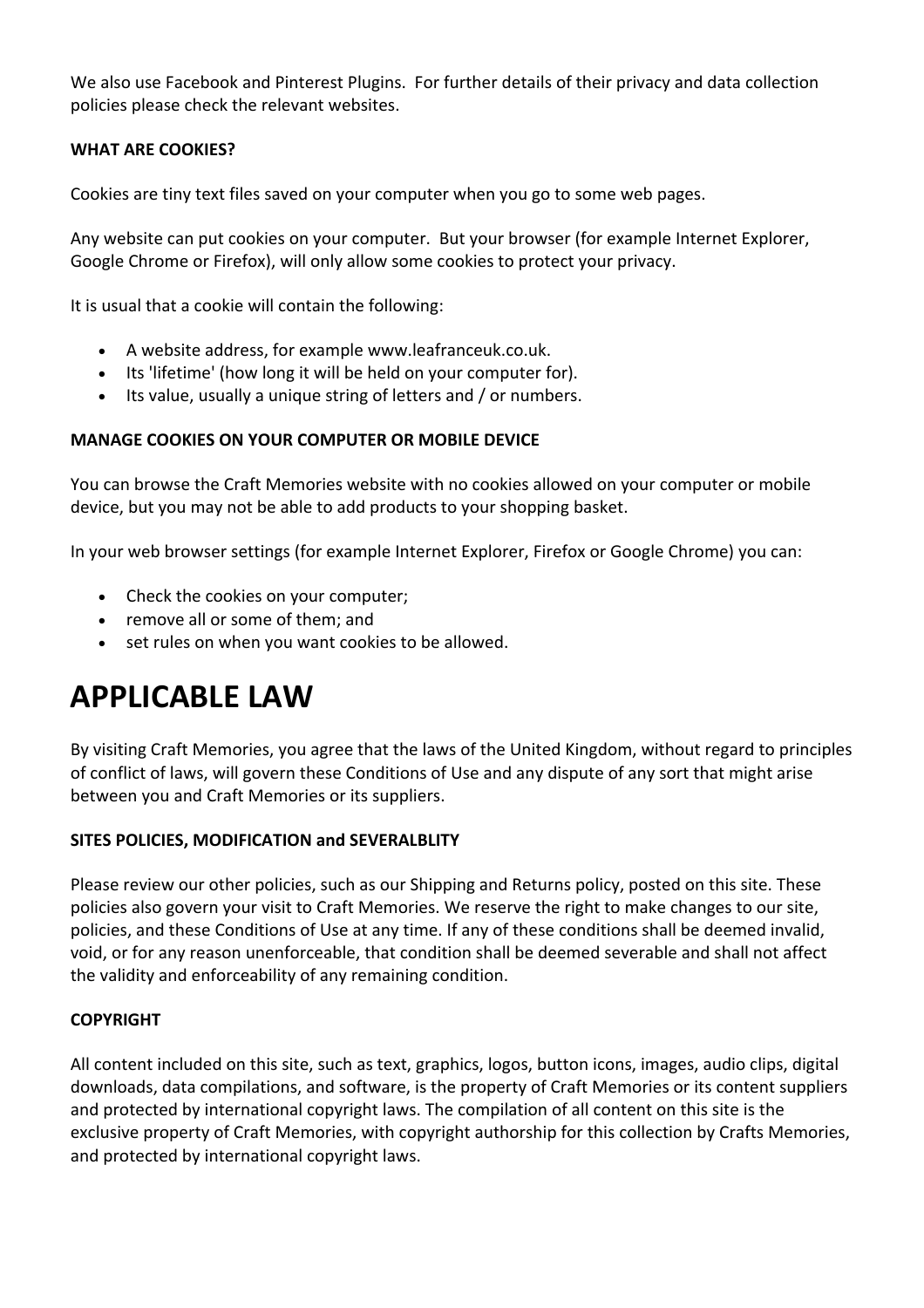We also use Facebook and Pinterest Plugins. For further details of their privacy and data collection policies please check the relevant websites.

### **WHAT ARE COOKIES?**

Cookies are tiny text files saved on your computer when you go to some web pages.

Any website can put cookies on your computer. But your browser (for example Internet Explorer, Google Chrome or Firefox), will only allow some cookies to protect your privacy.

It is usual that a cookie will contain the following:

- A website address, for example www.leafranceuk.co.uk.
- Its 'lifetime' (how long it will be held on your computer for).
- Its value, usually a unique string of letters and / or numbers.

#### **MANAGE COOKIES ON YOUR COMPUTER OR MOBILE DEVICE**

You can browse the Craft Memories website with no cookies allowed on your computer or mobile device, but you may not be able to add products to your shopping basket.

In your web browser settings (for example Internet Explorer, Firefox or Google Chrome) you can:

- Check the cookies on your computer;
- remove all or some of them; and
- set rules on when you want cookies to be allowed.

# **APPLICABLE LAW**

By visiting Craft Memories, you agree that the laws of the United Kingdom, without regard to principles of conflict of laws, will govern these Conditions of Use and any dispute of any sort that might arise between you and Craft Memories or its suppliers.

#### **SITES POLICIES, MODIFICATION and SEVERALBLITY**

Please review our other policies, such as our Shipping and Returns policy, posted on this site. These policies also govern your visit to Craft Memories. We reserve the right to make changes to our site, policies, and these Conditions of Use at any time. If any of these conditions shall be deemed invalid, void, or for any reason unenforceable, that condition shall be deemed severable and shall not affect the validity and enforceability of any remaining condition.

#### **COPYRIGHT**

All content included on this site, such as text, graphics, logos, button icons, images, audio clips, digital downloads, data compilations, and software, is the property of Craft Memories or its content suppliers and protected by international copyright laws. The compilation of all content on this site is the exclusive property of Craft Memories, with copyright authorship for this collection by Crafts Memories, and protected by international copyright laws.